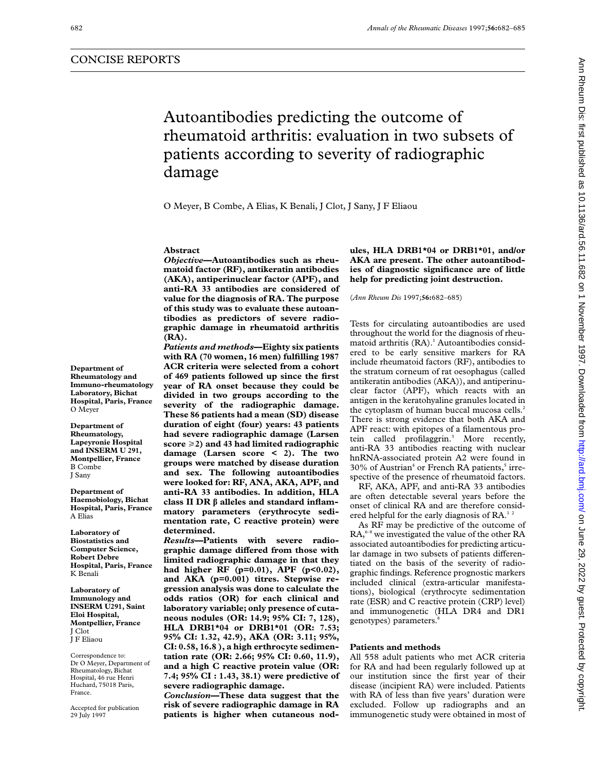# Autoantibodies predicting the outcome of rheumatoid arthritis: evaluation in two subsets of patients according to severity of radiographic damage

O Meyer, B Combe, A Elias, K Benali, J Clot, J Sany, J F Eliaou

#### **Abstract**

*Objective***—Autoantibodies such as rheumatoid factor (RF), antikeratin antibodies (AKA), antiperinuclear factor (APF), and anti-RA 33 antibodies are considered of value for the diagnosis of RA. The purpose of this study was to evaluate these autoantibodies as predictors of severe radiographic damage in rheumatoid arthritis (RA).**

*Patients and methods***—Eighty six patients with RA (70 women, 16 men) fulfilling 1987 ACR criteria were selected from a cohort of 469 patients followed up since the first year of RA onset because they could be divided in two groups according to the severity of the radiographic damage. These 86 patients had a mean (SD) disease duration of eight (four) years: 43 patients had severe radiographic damage (Larsen score** >**2) and 43 had limited radiographic damage (Larsen score < 2). The two groups were matched by disease duration and sex. The following autoantibodies were looked for: RF, ANA, AKA, APF, and anti-RA 33 antibodies. In addition, HLA class II DR â alleles and standard inflammatory parameters (erythrocyte sedimentation rate, C reactive protein) were determined.**

*Results***—Patients with severe radiographic damage diVered from those with limited radiographic damage in that they had higher RF (p=0.01), APF (p<0.02), and AKA (p=0.001) titres. Stepwise regression analysis was done to calculate the odds ratios (OR) for each clinical and laboratory variable; only presence of cutaneous nodules (OR: 14.9; 95% CI: 7, 128), HLA DRB1\*04 or DRB1\*01 (OR: 7.53; 95% CI: 1.32, 42.9), AKA (OR: 3.11; 95%, CI: 0.58, 16.8 ), a high erthrocyte sedimentation rate (OR: 2.66; 95% CI: 0.60, 11.9), and a high C reactive protein value (OR: 7.4; 95% CI : 1.43, 38.1) were predictive of severe radiographic damage.**

*Conclusion***—These data suggest that the risk of severe radiographic damage in RA patients is higher when cutaneous nod-** **ules, HLA DRB1\*04 or DRB1\*01, and/or AKA are present. The other autoantibodies of diagnostic significance are of little help for predicting joint destruction.**

(*Ann Rheum Dis* 1997;**56:**682–685)

Tests for circulating autoantibodies are used throughout the world for the diagnosis of rheumatoid arthritis (RA).<sup>1</sup> Autoantibodies considered to be early sensitive markers for RA include rheumatoid factors (RF), antibodies to the stratum corneum of rat oesophagus (called antikeratin antibodies (AKA)), and antiperinuclear factor (APF), which reacts with an antigen in the keratohyaline granules located in the cytoplasm of human buccal mucosa cells.<sup>2</sup> There is strong evidence that both AKA and APF react: with epitopes of a filamentous protein called profilaggrin.3 More recently, anti-RA 33 antibodies reacting with nuclear hnRNA-associated protein A2 were found in  $30\%$  of Austrian<sup>4</sup> or French RA patients,<sup>5</sup> irrespective of the presence of rheumatoid factors.

RF, AKA, APF, and anti-RA 33 antibodies are often detectable several years before the onset of clinical RA and are therefore considered helpful for the early diagnosis of  $RA<sup>12</sup>$ 

As RF may be predictive of the outcome of  $RA<sub>0</sub><sup>6-8</sup>$  we investigated the value of the other RA associated autoantibodies for predicting articular damage in two subsets of patients differentiated on the basis of the severity of radiographic findings. Reference prognostic markers included clinical (extra-articular manifestations), biological (erythrocyte sedimentation rate (ESR) and C reactive protein (CRP) level) and immunogenetic (HLA DR4 and DR1 genotypes) parameters.<sup>8</sup>

#### **Patients and methods**

All 558 adult patients who met ACR criteria for RA and had been regularly followed up at our institution since the first year of their disease (incipient RA) were included. Patients with RA of less than five years' duration were excluded. Follow up radiographs and an immunogenetic study were obtained in most of

**Department of Rheumatology and Immuno-rheumatology Laboratory, Bichat Hospital, Paris, France** O Meyer

**Department of Rheumatology, Lapeyronie Hospital and INSERM U 291, Montpellier, France** B Combe J Sany

**Department of Haemobiology, Bichat Hospital, Paris, France** A Elias

**Laboratory of Biostatistics and Computer Science, Robert Debre Hospital, Paris, France** K Benali

**Laboratory of Immunology and INSERM U291, Saint Eloi Hospital, Montpellier, France** J Clot J F Eliaou

Correspondence to: Dr O Meyer, Department of Rheumatology, Bichat Hospital, 46 rue Henri Huchard, 75018 Paris, France.

Accepted for publication 29 July 1997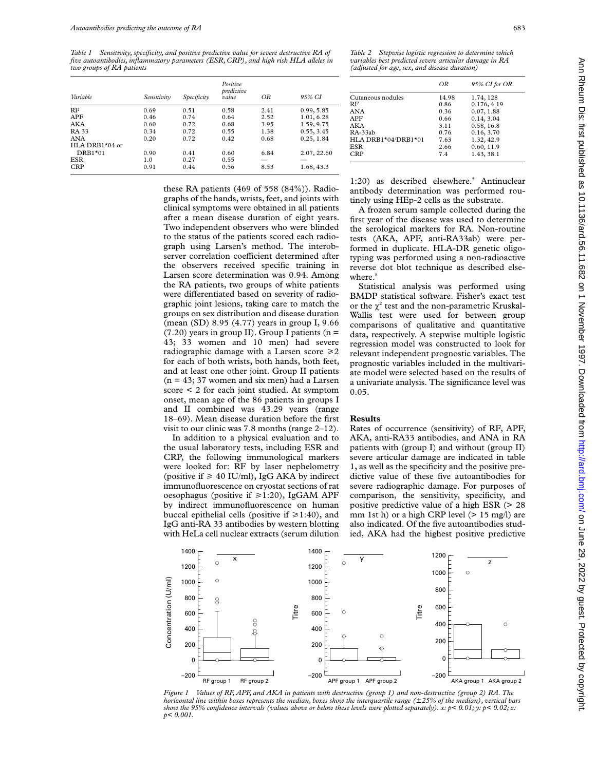*Table 1 Sensitivity, specificity, and positive predictive value for severe destructive RA of five autoantibodies, inflammatory parameters (ESR, CRP), and high risk HLA alleles in two groups of RA patients*

| Variable       | Sensitivity | Specificity | Positive<br>predictive<br>value | ΟR   | 95% CI      |
|----------------|-------------|-------------|---------------------------------|------|-------------|
| RF             | 0.69        | 0.51        | 0.58                            | 2.41 | 0.99, 5.85  |
| APF            | 0.46        | 0.74        | 0.64                            | 2.52 | 1.01, 6.28  |
| AKA            | 0.60        | 0.72        | 0.68                            | 3.95 | 1.59, 9.75  |
| <b>RA 33</b>   | 0.34        | 0.72        | 0.55                            | 1.38 | 0.55, 3.45  |
| <b>ANA</b>     | 0.20        | 0.72        | 0.42                            | 0.68 | 0.25, 1.84  |
| HLA DRB1*04 or |             |             |                                 |      |             |
| DRB1*01        | 0.90        | 0.41        | 0.60                            | 6.84 | 2.07, 22.60 |
| ESR            | 1.0         | 0.27        | 0.55                            |      |             |
| <b>CRP</b>     | 0.91        | 0.44        | 0.56                            | 8.53 | 1.68, 43.3  |

these RA patients (469 of 558 (84%)). Radiographs of the hands, wrists, feet, and joints with clinical symptoms were obtained in all patients after a mean disease duration of eight years. Two independent observers who were blinded to the status of the patients scored each radiograph using Larsen's method. The interobserver correlation coefficient determined after the observers received specific training in Larsen score determination was 0.94. Among the RA patients, two groups of white patients were differentiated based on severity of radiographic joint lesions, taking care to match the groups on sex distribution and disease duration (mean (SD) 8.95 (4.77) years in group I, 9.66  $(7.20)$  years in group II). Group I patients (n = 43; 33 women and 10 men) had severe radiographic damage with a Larsen score  $\geq 2$ for each of both wrists, both hands, both feet, and at least one other joint. Group II patients  $(n = 43; 37$  women and six men) had a Larsen score < 2 for each joint studied. At symptom onset, mean age of the 86 patients in groups I and II combined was 43.29 years (range 18–69). Mean disease duration before the first visit to our clinic was 7.8 months (range 2–12).

In addition to a physical evaluation and to the usual laboratory tests, including ESR and CRP, the following immunological markers were looked for: RF by laser nephelometry (positive if  $\geq 40$  IU/ml), IgG AKA by indirect immunofluorescence on cryostat sections of rat oesophagus (positive if  $\geq 1:20$ ), IgGAM APF by indirect immunofluorescence on human buccal epithelial cells (positive if  $\geq 1:40$ ), and IgG anti-RA 33 antibodies by western blotting with HeLa cell nuclear extracts (serum dilution

*Table 2 Stepwise logistic regression to determine which variables best predicted severe articular damage in RA (adjusted for age, sex, and disease duration)*

|                     | ΟR    | 95% CI for OR |
|---------------------|-------|---------------|
| Cutaneous nodules   | 14.98 | 1.74, 128     |
| RF                  | 0.86  | 0.176, 4.19   |
| ANA                 | 0.36  | 0.07, 1.88    |
| APF                 | 0.66  | 0.14, 3.04    |
| AKA                 | 3.11  | 0.58, 16.8    |
| RA-33ab             | 0.76  | 0.16, 3.70    |
| HLA DRB1*04/DRB1*01 | 7.63  | 1.32, 42.9    |
| ESR                 | 2.66  | 0.60, 11.9    |
| CRP                 | 7.4   | 1.43, 38.1    |

1:20) as described elsewhere.<sup>5</sup> Antinuclear antibody determination was performed routinely using HEp-2 cells as the substrate.

A frozen serum sample collected during the first year of the disease was used to determine the serological markers for RA. Non-routine tests (AKA, APF, anti-RA33ab) were performed in duplicate. HLA-DR genetic oligotyping was performed using a non-radioactive reverse dot blot technique as described elsewhere. $8$ 

Statistical analysis was performed using BMDP statistical software. Fisher's exact test or the  $\chi^2$  test and the non-parametric Kruskal-Wallis test were used for between group comparisons of qualitative and quantitative data, respectively. A stepwise multiple logistic regression model was constructed to look for relevant independent prognostic variables. The prognostic variables included in the multivariate model were selected based on the results of a univariate analysis. The significance level was 0.05.

## **Results**

Rates of occurrence (sensitivity) of RF, APF, AKA, anti-RA33 antibodies, and ANA in RA patients with (group I) and without (group II) severe articular damage are indicated in table 1, as well as the specificity and the positive predictive value of these five autoantibodies for severe radiographic damage. For purposes of comparison, the sensitivity, specificity, and positive predictive value of a high ESR (> 28 mm 1st h) or a high CRP level (> 15 mg/l) are also indicated. Of the five autoantibodies studied, AKA had the highest positive predictive



*Figure 1 Values of RF, APF, and AKA in patients with destructive (group 1) and non-destructive (group 2) RA. The horizontal line within boxes represents the median, boxes show the interquartile range (*± *25% of the median), vertical bars show the 95% confidence intervals (values above or below these levels were plotted separately). x: p< 0.01; y: p< 0.02; z: p< 0.001.*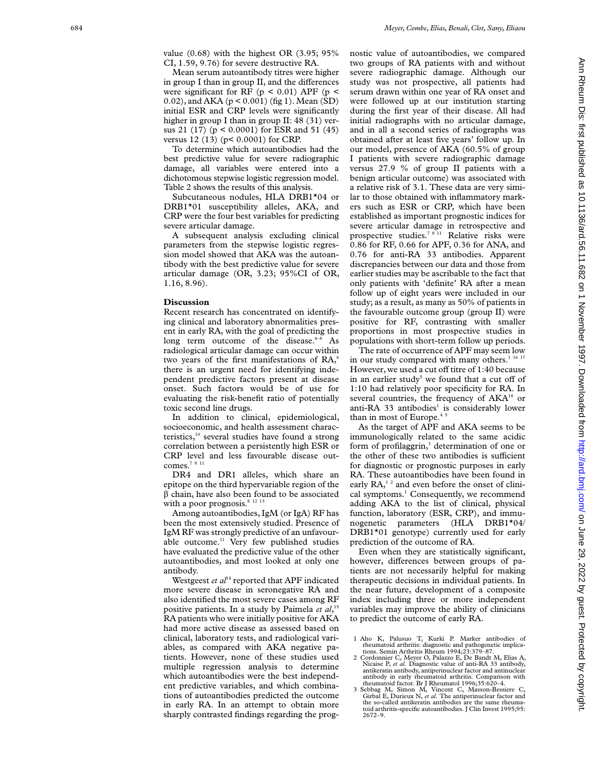value (0.68) with the highest OR (3.95; 95% CI, 1.59, 9.76) for severe destructive RA.

Mean serum autoantibody titres were higher in group I than in group II, and the differences were significant for RF ( $p < 0.01$ ) APF ( $p <$ 0.02), and AKA (p < 0.001) (fig 1). Mean (SD) initial ESR and CRP levels were significantly higher in group I than in group II: 48 (31) versus 21 (17) (p < 0.0001) for ESR and 51 (45) versus 12 (13) (p< 0.0001) for CRP.

To determine which autoantibodies had the best predictive value for severe radiographic damage, all variables were entered into a dichotomous stepwise logistic regression model. Table 2 shows the results of this analysis.

Subcutaneous nodules, HLA DRB1\*04 or DRB1\*01 susceptibility alleles, AKA, and CRP were the four best variables for predicting severe articular damage.

A subsequent analysis excluding clinical parameters from the stepwise logistic regression model showed that AKA was the autoantibody with the best predictive value for severe articular damage (OR, 3.23; 95%CI of OR, 1.16, 8.96).

## **Discussion**

Recent research has concentrated on identifying clinical and laboratory abnormalities present in early RA, with the goal of predicting the long term outcome of the disease.<sup>6-8</sup> As radiological articular damage can occur within two years of the first manifestations of RA, 6 there is an urgent need for identifying independent predictive factors present at disease onset. Such factors would be of use for evaluating the risk-benefit ratio of potentially toxic second line drugs.

In addition to clinical, epidemiological, socioeconomic, and health assessment characteristics, $10$  several studies have found a strong correlation between a persistently high ESR or CRP level and less favourable disease outcomes.<sup>78 11</sup>

DR4 and DR1 alleles, which share an epitope on the third hypervariable region of the  $\beta$  chain, have also been found to be associated with a poor prognosis.<sup>8 12 13</sup>

Among autoantibodies, IgM (or IgA) RF has been the most extensively studied. Presence of IgM RF was strongly predictive of an unfavourable outcome.<sup>11</sup> Very few published studies have evaluated the predictive value of the other autoantibodies, and most looked at only one antibody.

Westgeest *et al*<sup>14</sup> reported that APF indicated more severe disease in seronegative RA and also identified the most severe cases among RF positive patients. In a study by Paimela *et al*, 15 RA patients who were initially positive for AKA had more active disease as assessed based on clinical, laboratory tests, and radiological variables, as compared with AKA negative patients. However, none of these studies used multiple regression analysis to determine which autoantibodies were the best independent predictive variables, and which combinations of autoantibodies predicted the outcome in early RA. In an attempt to obtain more sharply contrasted findings regarding the prognostic value of autoantibodies, we compared two groups of RA patients with and without severe radiographic damage. Although our study was not prospective, all patients had serum drawn within one year of RA onset and were followed up at our institution starting during the first year of their disease. All had initial radiographs with no articular damage, and in all a second series of radiographs was obtained after at least five years' follow up. In our model, presence of AKA (60.5% of group I patients with severe radiographic damage versus 27.9 % of group II patients with a benign articular outcome) was associated with a relative risk of 3.1. These data are very similar to those obtained with inflammatory markers such as ESR or CRP, which have been established as important prognostic indices for severe articular damage in retrospective and prospective studies.<sup>7811</sup> Relative risks were 0.86 for RF, 0.66 for APF, 0.36 for ANA, and 0.76 for anti-RA 33 antibodies. Apparent discrepancies between our data and those from earlier studies may be ascribable to the fact that only patients with 'definite' RA after a mean follow up of eight years were included in our study; as a result, as many as 50% of patients in the favourable outcome group (group II) were positive for RF, contrasting with smaller proportions in most prospective studies in populations with short-term follow up periods.

The rate of occurrence of APF may seem low in our study compared with many others.<sup>1 16 17</sup> However, we used a cut off titre of 1:40 because in an earlier study<sup>5</sup> we found that a cut off of 1:10 had relatively poor specificity for RA. In several countries, the frequency of AKA<sup>18</sup> or anti-RA 33 antibodies<sup>1</sup> is considerably lower than in most of Europe.<sup>45</sup>

As the target of APF and AKA seems to be immunologically related to the same acidic form of profilaggrin, <sup>3</sup> determination of one or the other of these two antibodies is sufficient for diagnostic or prognostic purposes in early RA. These autoantibodies have been found in early  $RA<sub>1</sub><sup>12</sup>$  and even before the onset of clinical symptoms.<sup>1</sup> Consequently, we recommend adding AKA to the list of clinical, physical function, laboratory (ESR, CRP), and immunogenetic parameters (HLA DRB1\*04/ DRB1\*01 genotype) currently used for early prediction of the outcome of RA.

Even when they are statistically significant, however, differences between groups of patients are not necessarily helpful for making therapeutic decisions in individual patients. In the near future, development of a composite index including three or more independent variables may improve the ability of clinicians to predict the outcome of early RA.

3 Sebbag M, Simon M, Vincent C, Masson-Bessiere C, Girbal E, Durieux N, *et al.* The antiperinuclear factor and the so-called antikeratin antibodies are the same rheumatoid arthritis-specific autoantibodies. J Clin Invest 1995;95: 2672–9.

<sup>1</sup> Aho K, Palusuo T, Kurki P. Marker antibodies of rheumatoid arthritis: diagnostic and pathogenetic implications. Semin Arthritis Rheum 1994;23:379–87.

<sup>2</sup> Cordonnier C, Meyer O, Palazzo E, De Bandt M, Elias A, Nicaise P, *et al.* Diagnostic value of anti-RA 33 antibody, antikeratin antibody, antiperinuclear factor and antinuclear antibody in early rheumatoid arthritis. Comparison with rheumatoid factor. Br J Rheumatol 1996;35:620–4.